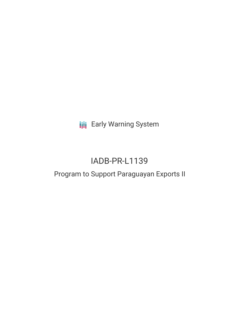**III** Early Warning System

# IADB-PR-L1139

## Program to Support Paraguayan Exports II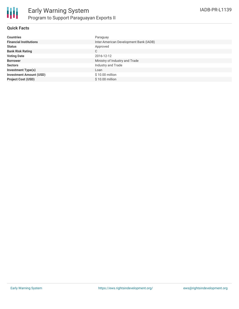

#### **Quick Facts**

| <b>Countries</b>               | Paraguay                               |
|--------------------------------|----------------------------------------|
| <b>Financial Institutions</b>  | Inter-American Development Bank (IADB) |
| <b>Status</b>                  | Approved                               |
| <b>Bank Risk Rating</b>        | C                                      |
| <b>Voting Date</b>             | 2016-12-12                             |
| <b>Borrower</b>                | Ministry of Industry and Trade         |
| <b>Sectors</b>                 | Industry and Trade                     |
| <b>Investment Type(s)</b>      | Loan                                   |
| <b>Investment Amount (USD)</b> | $$10.00$ million                       |
| <b>Project Cost (USD)</b>      | \$10.00 million                        |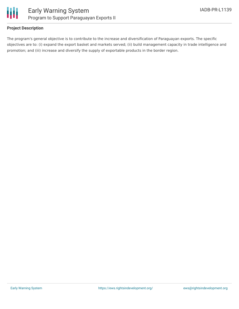

#### **Project Description**

The program's general objective is to contribute to the increase and diversification of Paraguayan exports. The specific objectives are to: (i) expand the export basket and markets served; (ii) build management capacity in trade intelligence and promotion; and (iii) increase and diversify the supply of exportable products in the border region.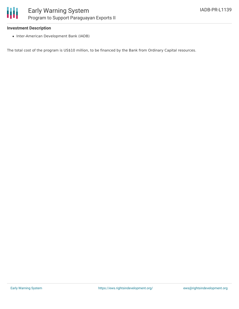#### **Investment Description**

• Inter-American Development Bank (IADB)

The total cost of the program is US\$10 million, to be financed by the Bank from Ordinary Capital resources.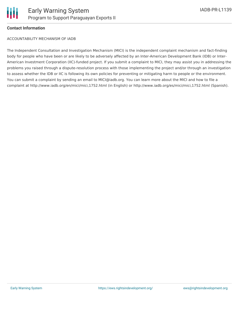

#### **Contact Information**

ACCOUNTABILITY MECHANISM OF IADB

The Independent Consultation and Investigation Mechanism (MICI) is the independent complaint mechanism and fact-finding body for people who have been or are likely to be adversely affected by an Inter-American Development Bank (IDB) or Inter-American Investment Corporation (IIC)-funded project. If you submit a complaint to MICI, they may assist you in addressing the problems you raised through a dispute-resolution process with those implementing the project and/or through an investigation to assess whether the IDB or IIC is following its own policies for preventing or mitigating harm to people or the environment. You can submit a complaint by sending an email to MICI@iadb.org. You can learn more about the MICI and how to file a complaint at http://www.iadb.org/en/mici/mici,1752.html (in English) or http://www.iadb.org/es/mici/mici,1752.html (Spanish).